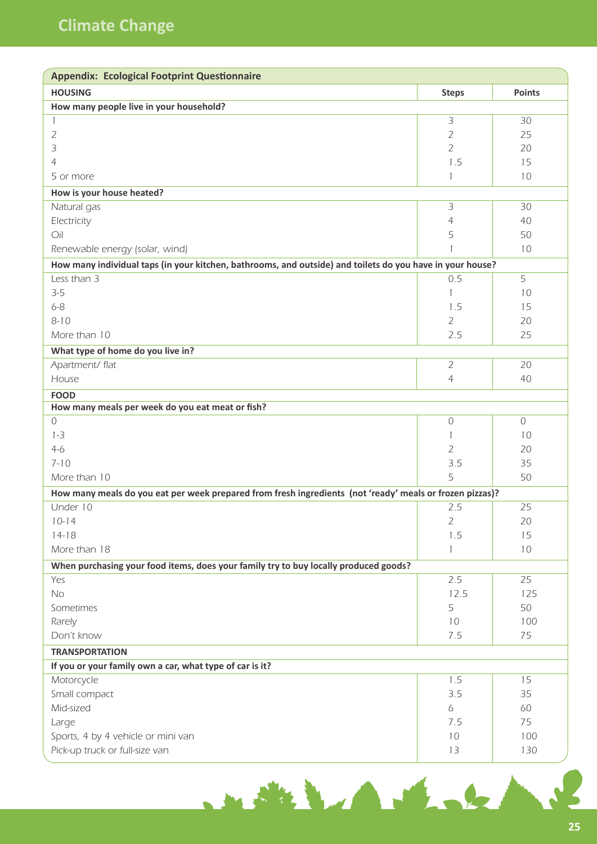| <b>Appendix: Ecological Footprint Questionnaire</b>                                                       |                |                |  |
|-----------------------------------------------------------------------------------------------------------|----------------|----------------|--|
| <b>HOUSING</b>                                                                                            | <b>Steps</b>   | <b>Points</b>  |  |
| How many people live in your household?                                                                   |                |                |  |
| 1                                                                                                         | 3              | 30             |  |
| 2                                                                                                         | $\overline{2}$ | 25             |  |
| 3                                                                                                         | $\overline{2}$ | 20             |  |
| 4                                                                                                         | 1.5            | 15             |  |
| 5 or more                                                                                                 | 1              | 10             |  |
| How is your house heated?                                                                                 |                |                |  |
| Natural gas                                                                                               | 3              | 30             |  |
| Electricity                                                                                               | 4              | 40             |  |
| Oil                                                                                                       | 5              | 50             |  |
| Renewable energy (solar, wind)                                                                            |                | 10             |  |
| How many individual taps (in your kitchen, bathrooms, and outside) and toilets do you have in your house? |                |                |  |
| Less than 3                                                                                               | 0.5            | 5              |  |
| $3 - 5$                                                                                                   | 1              | 10             |  |
| $6 - 8$                                                                                                   | 1.5            | 15             |  |
| $8 - 10$                                                                                                  | $\overline{2}$ | 20             |  |
| More than 10                                                                                              | 2.5            | 25             |  |
| What type of home do you live in?                                                                         |                |                |  |
| Apartment/ flat                                                                                           | $\overline{2}$ | 20             |  |
| House                                                                                                     | $\overline{4}$ | 40             |  |
| <b>FOOD</b>                                                                                               |                |                |  |
| How many meals per week do you eat meat or fish?                                                          |                |                |  |
| $\overline{0}$                                                                                            | $\cal O$       | $\overline{O}$ |  |
| $1 - 3$                                                                                                   | 1              | 10             |  |
| $4-6$                                                                                                     | 2              | 20             |  |
| $7 - 10$                                                                                                  | 3.5            | 35             |  |
| More than 10                                                                                              | 5              | 50             |  |
| How many meals do you eat per week prepared from fresh ingredients (not 'ready' meals or frozen pizzas)?  |                |                |  |
| Under 10                                                                                                  | 2.5            | 25             |  |
| $10-14$                                                                                                   | $\overline{2}$ | 20             |  |
| $14-18$                                                                                                   | 1.5            | 15             |  |
| More than 18                                                                                              |                | 10             |  |
| When purchasing your food items, does your family try to buy locally produced goods?                      |                |                |  |
| Yes                                                                                                       | 2.5            | 25             |  |
| No                                                                                                        | 12.5           | 125            |  |
| Sometimes                                                                                                 | 5              | 50             |  |
| Rarely                                                                                                    | 10             | 100            |  |
| Don't know                                                                                                | 7.5            | 75             |  |
| <b>TRANSPORTATION</b>                                                                                     |                |                |  |
| If you or your family own a car, what type of car is it?                                                  |                |                |  |
| Motorcycle                                                                                                | 1.5            | 15             |  |
| Small compact                                                                                             | 3.5            | 35             |  |
| Mid-sized                                                                                                 | 6              | 60             |  |
| Large                                                                                                     | 7.5            | 75             |  |
| Sports, 4 by 4 vehicle or mini van                                                                        | 10             | 100            |  |
| Pick-up truck or full-size van                                                                            | 13             | 130            |  |
|                                                                                                           |                |                |  |

mother than the band